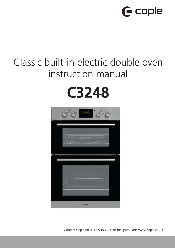

# Classic built-in electric double oven instruction manual

# **C3248**



Contact Caple on 0117 938 7420 or for spare parts www.caple.co.uk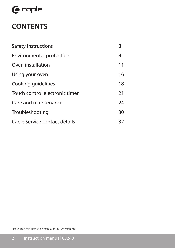# $G$  caple

# **CONTENTS**

| Safety instructions             | 3  |
|---------------------------------|----|
| <b>Environmental protection</b> | 9  |
| Oven installation               | 11 |
| Using your oven                 | 16 |
| Cooking quidelines              | 18 |
| Touch control electronic timer  | 21 |
| Care and maintenance            | 24 |
| Troubleshooting                 | 30 |
| Caple Service contact details   | 32 |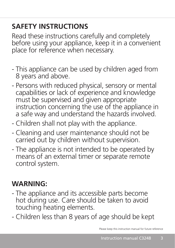# **SAFETY INSTRUCTIONS**

Read these instructions carefully and completely before using your appliance, keep it in a convenient place for reference when necessary.

- This appliance can be used by children aged from 8 years and above.
- Persons with reduced physical, sensory or mental capabilities or lack of experience and knowledge must be supervised and given appropriate instruction concerning the use of the appliance in a safe way and understand the hazards involved.
- Children shall not play with the appliance.
- Cleaning and user maintenance should not be carried out by children without supervision.
- The appliance is not intended to be operated by means of an external timer or separate remote control system.

# **WARNING:**

- The appliance and its accessible parts become hot during use. Care should be taken to avoid touching heating elements.
- Children less than 8 years of age should be kept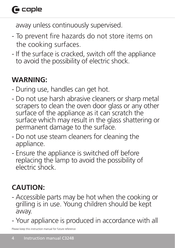# $\bigcap$  caple

away unless continuously supervised.

- To prevent fire hazards do not store items on the cooking surfaces.
- If the surface is cracked, switch off the appliance to avoid the possibility of electric shock.

# **WARNING:**

- During use, handles can get hot.
- Do not use harsh abrasive cleaners or sharp metal scrapers to clean the oven door glass or any other surface of the appliance as it can scratch the surface which may result in the glass shattering or permanent damage to the surface.
- Do not use steam cleaners for cleaning the appliance.
- Ensure the appliance is switched off before replacing the lamp to avoid the possibility of electric shock.

# **CAUTION:**

- Accessible parts may be hot when the cooking or grilling is in use. Young children should be kept away.
- Your appliance is produced in accordance with all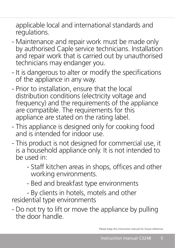applicable local and international standards and regulations.

- Maintenance and repair work must be made only by authorised Caple service technicians. Installation and repair work that is carried out by unauthorised technicians may endanger you.
- It is dangerous to alter or modify the specifications of the appliance in any way.
- Prior to installation, ensure that the local distribution conditions (electricity voltage and frequency) and the requirements of the appliance are compatible. The requirements for this appliance are stated on the rating label.
- This appliance is designed only for cooking food and is intended for indoor use.
- This product is not designed for commercial use, it is a household appliance only. It is not intended to be used in:
	- Staff kitchen areas in shops, offices and other working environments.
	- Bed and breakfast type environments

- By clients in hotels, motels and other residential type environments

- Do not try to lift or move the appliance by pulling the door handle.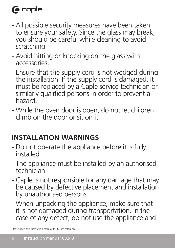# $\bigcap$  caple

- All possible security measures have been taken to ensure your safety. Since the glass may break, you should be careful while cleaning to avoid scratching.
- Avoid hitting or knocking on the glass with accessories.
- Ensure that the supply cord is not wedged during the installation. If the supply cord is damaged, it must be replaced by a Caple service technician or similarly qualified persons in order to prevent a hazard.
- While the oven door is open, do not let children climb on the door or sit on it.

# **INSTALLATION WARNINGS**

- Do not operate the appliance before it is fully installed.
- The appliance must be installed by an authorised technician.
- Caple is not responsible for any damage that may be caused by defective placement and installation by unauthorised persons.
- When unpacking the appliance, make sure that it is not damaged during transportation. In the case of any defect; do not use the appliance and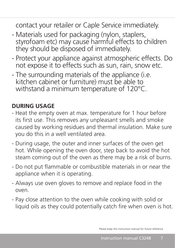contact your retailer or Caple Service immediately.

- Materials used for packaging (nylon, staplers, styrofoam etc) may cause harmful effects to children they should be disposed of immediately.
- Protect your appliance against atmospheric effects. Do not expose it to effects such as sun, rain, snow etc.
- The surrounding materials of the appliance (i.e. kitchen cabinet or furniture) must be able to withstand a minimum temperature of 120°C.

# **DURING USAGE**

- Heat the empty oven at max. temperature for 1 hour before its first use. This removes any unpleasant smells and smoke caused by working residues and thermal insulation. Make sure you do this in a well ventilated area.
- During usage, the outer and inner surfaces of the oven get hot. While opening the oven door, step back to avoid the hot steam coming out of the oven as there may be a risk of burns.
- Do not put flammable or combustible materials in or near the appliance when it is operating.
- Always use oven gloves to remove and replace food in the oven.
- Pay close attention to the oven while cooking with solid or liquid oils as they could potentially catch fire when oven is hot.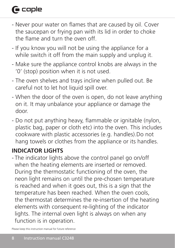# $\bigcap$  caple

- Never pour water on flames that are caused by oil. Cover the saucepan or frying pan with its lid in order to choke the flame and turn the oven off.
- If you know you will not be using the appliance for a while switch it off from the main supply and unplug it.
- Make sure the appliance control knobs are always in the '0' (stop) position when it is not used.
- The oven shelves and trays incline when pulled out. Be careful not to let hot liquid spill over.
- When the door of the oven is open, do not leave anything on it. It may unbalance your appliance or damage the door.
- Do not put anything heavy, flammable or ignitable (nylon, plastic bag, paper or cloth etc) into the oven. This includes cookware with plastic accessories (e.g. handles).Do not hang towels or clothes from the appliance or its handles.

# **INDICATOR LIGHTS**

- The indicator lights above the control panel go on/off when the heating elements are inserted or removed. During the thermostatic functioning of the oven, the neon light remains on until the pre-chosen temperature is reached and when it goes out, this is a sign that the temperature has been reached. When the oven cools, the thermostat determines the re-insertion of the heating elements with consequent re-lighting of the indicator lights. The internal oven light is always on when any function is in operation.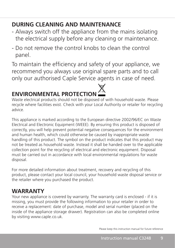# **DURING CLEANING AND MAINTENANCE**

- Always switch off the appliance from the mains isolating the electrical supply before any cleaning or maintenance.
- Do not remove the control knobs to clean the control panel.

To maintain the efficiency and safety of your appliance, we recommend you always use original spare parts and to call only our authorised Caple Service agents in case of need.

# **ENVIRONMENTAL PROTECTION**

Waste electrical products should not be disposed of with household waste. Please recycle where facilities exist. Check with your Local Authority or retailer for recycling advice.

This appliance is marked according to the European directive 2002/96/EC on Waste Electrical and Electronic Equipment (WEEE). By ensuring this product is disposed of correctly, you will help prevent potential negative consequences for the environment and human health, which could otherwise be caused by inappropriate waste handling of this product. The symbol on the product indicates that this product may not be treated as household waste. Instead it shall be handed over to the applicable collection point for the recycling of electrical and electronic equipment. Disposal must be carried out in accordance with local environmental regulations for waste disposal.

For more detailed information about treatment, recovery and recycling of this product, please contact your local council, your household waste disposal service or the retailer where you purchased the product.

# **WARRANTY**

Your new appliance is covered by warranty. The warranty card is enclosed - if it is missing, you must provide the following information to your retailer in order to receive a replacement: date of purchase, model and serial number (placed on the inside of the appliance storage drawer). Registration can also be completed online by visiting www.caple.co.uk.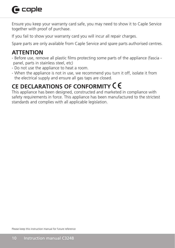# **G** caple

Ensure you keep your warranty card safe, you may need to show it to Caple Service together with proof of purchase.

If you fail to show your warranty card you will incur all repair charges.

Spare parts are only available from Caple Service and spare parts authorised centres.

# **ATTENTION**

- Before use, remove all plastic films protecting some parts of the appliance (fascia panel, parts in stainless steel, etc)
- Do not use the appliance to heat a room.
- When the appliance is not in use, we recommend you turn it off, isolate it from the electrical supply and ensure all gas taps are closed.

# **CE DECLARATIONS OF CONFORMITY**

This appliance has been designed, constructed and marketed in compliance with safety requirements in force. This appliance has been manufactured to the strictest standards and complies with all applicable legislation.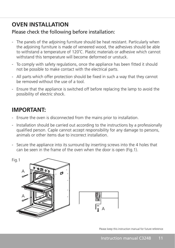# **OVEN INSTALLATION**

### Please check the following before installation:

- The panels of the adjoining furniture should be heat resistant. Particularly when the adjoining furniture is made of veneered wood, the adhesives should be able to withstand a temperature of 120˚C. Plastic materials or adhesive which cannot withstand this temperature will become deformed or unstuck.
- To comply with safety regulations, once the appliance has been fitted it should not be possible to make contact with the electrical parts.
- All parts which offer protection should be fixed in such a way that they cannot be removed without the use of a tool.
- Ensure that the appliance is switched off before replacing the lamp to avoid the possibility of electric shock.

# **IMPORTANT:**

- Ensure the oven is disconnected from the mains prior to installation.
- Installation should be carried out according to the instructions by a professionally qualified person. Caple cannot accept responsibility for any damage to persons, animals or other items due to incorrect installation.
- Secure the appliance into its surround by inserting screws into the 4 holes that can be seen in the frame of the oven when the door is open (Fig.1).

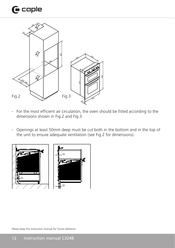# $\mathbf \Theta$  caple



- For the most efficient air circulation, the oven should be fitted according to the dimensions shown in Fig.2 and Fig.3
- Openings at least 50mm deep must be cut both in the bottom and in the top of the unit to ensure adequate ventilation (see Fig.2 for dimensions).

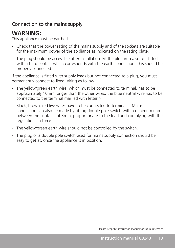### Connection to the mains supply

## **WARNING:**

This appliance must be earthed

- Check that the power rating of the mains supply and of the sockets are suitable for the maximum power of the appliance as indicated on the rating plate.
- The plug should be accessible after installation. Fit the plug into a socket fitted with a third contact which corresponds with the earth connection. This should be properly connected.

If the appliance is fitted with supply leads but not connected to a plug, you must permanently connect to fixed wiring as follow:

- The yellow/green earth wire, which must be connected to terminal, has to be approximately 10mm longer than the other wires; the blue neutral wire has to be connected to the terminal marked with letter N.
- Black, brown, red live wires have to be connected to terminal L. Mains connection can also be made by fitting double pole switch with a minimum gap between the contacts of 3mm, proportionate to the load and complying with the regulations in force.
- The yellow/green earth wire should not be controlled by the switch.
- The plug or a double pole switch used for mains supply connection should be easy to get at, once the appliance is in position.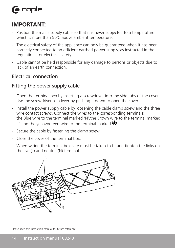# $\bigcap$  caple

# **IMPORTANT:**

- Position the mains supply cable so that it is never subjected to a temperature which is more than 50°C above ambient temperature.
- The electrical safety of the appliance can only be guaranteed when it has been correctly connected to an efficient earthed power supply, as instructed in the regulations for electrical safety.
- Caple cannot be held responsible for any damage to persons or objects due to lack of an earth connection.

### Electrical connection

## Fitting the power supply cable

- Open the terminal box by inserting a screwdriver into the side tabs of the cover. Use the screwdriver as a lever by pushing it down to open the cover
- Install the power supply cable by loosening the cable clamp screw and the three wire contact screws. Connect the wires to the corresponding terminals: the Blue wire to the terminal marked 'N',the Brown wire to the terminal marked 'L' and the yellow/green wire to the terminal marked  $\bigoplus$ .
- Secure the cable by fastening the clamp screw.
- Close the cover of the terminal box.
- When wiring the terminal box care must be taken to fit and tighten the links on the live (L) and neutral (N) terminals

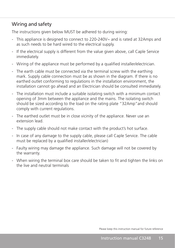### Wiring and safety

The instructions given below MUST be adhered to during wiring:

- This appliance is designed to connect to 220-240V~ and is rated at 32Amps and as such needs to be hard wired to the electrical supply.
- If the electrical supply is different from the value given above, call Caple Service immediately.
- Wiring of the appliance must be performed by a qualified installer/electrician.
- The earth cable must be connected via the terminal screw with the earthing mark. Supply cable connection must be as shown in the diagram. If there is no earthed outlet conforming to regulations in the installation environment, the installation cannot go ahead and an Electrician should be consulted immediately.
- The installation must include a suitable isolating switch with a minimum contact opening of 3mm between the appliance and the mains. The isolating switch should be sized according to the load on the rating plate "32Amp"and should comply with current regulations.
- The earthed outlet must be in close vicinity of the appliance. Never use an extension lead.
- The supply cable should not make contact with the product's hot surface.
- In case of any damage to the supply cable, please call Caple Service. The cable must be replaced by a qualified installer/electrician)
- Faulty wiring may damage the appliance. Such damage will not be covered by the warranty.
- When wiring the terminal box care should be taken to fit and tighten the links on the live and neutral terminals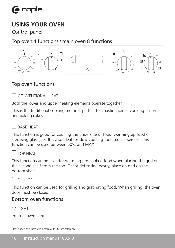# **USING YOUR OVEN**

Control panel

Top oven 4 functions / main oven 8 functions



## Top oven functions

**CONVENTIONAL HEAT** 

Both the lower and upper heating elements operate together.

This is the traditional cooking method, perfect for roasting joints, cooking pastry and baking cakes.

#### RASE HEAT

This function is good for cooking the underside of food, warming up food or sterilising glass jars. It is also ideal for slow cooking food, i.e. casseroles. This function can be used between 50˚C and MAX.



#### $\sqcap$  top heat

This function can be used for warming pre-cooked food when placing the grid on the second shelf from the top. Or for defrosting pastry, place on grid on the bottom shelf.

#### $\mathbb{Z}$  Full grill

This function can be used for grilling and gratinating food. When grilling, the oven door must be closed.

### Bottom oven functions

 $\mathbb{Z}$  LIGHT

Internal oven light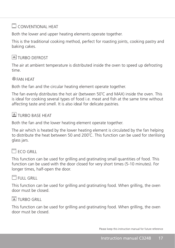### CONVENTIONAL HEAT

Both the lower and upper heating elements operate together.

This is the traditional cooking method, perfect for roasting joints, cooking pastry and baking cakes.

## **A** TURBO DEFROST

The air at ambient temperature is distributed inside the oven to speed up defrosting time.

### FAN HEAT

Both the fan and the circular heating element operate together.

The fan evenly distributes the hot air (between 50˚C and MAX) inside the oven. This is ideal for cooking several types of food i.e. meat and fish at the same time without affecting taste and smell. It is also ideal for delicate pastries.

### $\sqrt{2}$  TURRO BASE HEAT

Both the fan and the lower heating element operate together.

The air which is heated by the lower heating element is circulated by the fan helping to distribute the heat between 50 and 200˚C. This function can be used for sterilising glass jars.

## $\mathbb{F}$  FCO GRILL

This function can be used for grilling and gratinating small quantities of food. This function can be used with the door closed for very short times (5-10 minutes). For longer times, half-open the door.

### $\mathbb{F}$ FULL GRILL

This function can be used for grilling and gratinating food. When grilling, the oven door must be closed.

#### **TURBO GRILL**

This function can be used for grilling and gratinating food. When grilling, the oven door must be closed.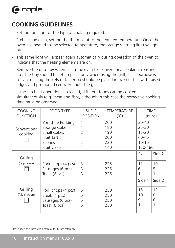# **COOKING GUIDELINES**

- Set the function for the type of cooking required.
- Preheat the oven, setting the thermostat to the required temperature. Once the oven has heated to the selected temperature, the orange warning light will go out.
- This same light will appear again automatically during operation of the oven to indicate that the heating elements are on.
- Remove the drip tray when using the oven for conventional cooking, roasting etc. The tray should be left in place only when using the grill, as its purpose is to catch falling droplets of fat. Food should be placed in oven dishes with raised edges and positioned centrally under the grill.
- If the fan heat operation is selected, different foods can be cooked simultaneously (e.g. meat and fish), although in this case the respective cooking time must be observed.

| <b>COOKING</b><br><b>FUNCTION</b> | <b>FOOD TYPE</b>                                                                      | <b>SHELF</b><br><b>POSITION</b>      | <b>TEMPERATURE</b><br>$(^{\circ}C)$    |                                                                      | <b>TIME</b><br>(mins) |
|-----------------------------------|---------------------------------------------------------------------------------------|--------------------------------------|----------------------------------------|----------------------------------------------------------------------|-----------------------|
| Conventional<br>cooking           | Yorkshire Pudding<br>Sponge Cake<br>Small Cakes<br>Fruit Tart<br>Scones<br>Fruit Cake | 1<br>$\overline{2}$<br>$\mathcal{P}$ | 200<br>180<br>190<br>200<br>220<br>140 | 30-40<br>$25 - 30$<br>$15 - 20$<br>$40 - 45$<br>$10 - 15$<br>120-180 |                       |
| Grilling                          |                                                                                       |                                      |                                        | Side 1                                                               | Side 2                |
| (Top oven)                        | Pork chops (4 pcs)<br>Sausages (6 pcs)<br>Toast (6 pcs)                               | 3<br>3<br>3                          | 225<br>225<br>225                      | 12<br>6                                                              | 10<br>5               |
|                                   |                                                                                       |                                      |                                        | Side 1                                                               | Side 2                |
| Grilling<br>(Main oven)<br>www    | Pork chops (4 pcs)<br>Steak (4 pcs)<br>Sausages (6 pcs)<br>Toast (6 pcs)              | 5<br>5<br>5<br>5                     | 250<br>250<br>250<br>250               | 15<br>10<br>9                                                        | 12<br>8<br>6          |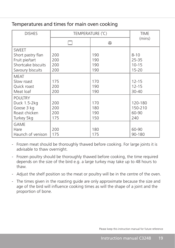#### Temperatures and times for main oven cooking

| <b>DISHES</b>      | TEMPERATURE (°C) |                | <b>TIME</b> |
|--------------------|------------------|----------------|-------------|
|                    |                  | $^{\circledR}$ | (mins)      |
| <b>SWEET</b>       |                  |                |             |
| Short pastry flan  | 200              | 190            | $8 - 10$    |
| Fruit pie/tart     | 200              | 190            | 25-35       |
| Shortcake biscuits | 200              | 190            | $10 - 15$   |
| Savoury biscuits   | 200              | 190            | $15 - 20$   |
| <b>MEAT</b>        |                  |                |             |
| Slow roast         | 175              | 170            | $12 - 15$   |
| Quick roast        | 200              | 190            | $12 - 15$   |
| Meat loaf          | 200              | 190            | 30-40       |
| <b>POULTRY</b>     |                  |                |             |
| Duck 1.5-2kg       | 200              | 170            | 120-180     |
| Goose 3 kg         | 200              | 180            | 150-210     |
| Roast chicken      | 200              | 190            | 60-90       |
| Turkey 5kg         | 175              | 150            | 240         |
| GAME               |                  |                |             |
| Hare               | 200              | 180            | 60-90       |
| Haunch of venison  | 175              | 175            | 90-180      |

- Frozen meat should be thoroughly thawed before cooking. For large joints it is advisable to thaw overnight.

- Frozen poultry should be thoroughly thawed before cooking, the time required depends on the size of the bird e.g. a large turkey may take up to 48 hours to thaw.
- Adjust the shelf position so the meat or poultry will be in the centre of the oven.
- The times given in the roasting guide are only approximate because the size and age of the bird will influence cooking times as will the shape of a joint and the proportion of bone.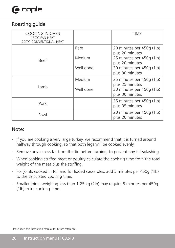# $\bigcap$  caple

#### Roasting guide

| <b>COOKING IN OVEN</b><br>180°C FAN HEAT<br>200°C CONVENTIONAL HEAT |           | TIME                                         |
|---------------------------------------------------------------------|-----------|----------------------------------------------|
| Beef                                                                | Rare      | 20 minutes per 450g (1lb)<br>plus 20 minutes |
|                                                                     | Medium    | 25 minutes per 450g (1lb)<br>plus 20 minutes |
|                                                                     | Well done | 30 minutes per 450g (1lb)<br>plus 30 minutes |
|                                                                     | Medium    | 25 minutes per 450g (1lb)<br>plus 25 minutes |
| Lamb                                                                | Well done | 30 minutes per 450g (1lb)<br>plus 30 minutes |
| Pork                                                                |           | 35 minutes per 450g (1lb)<br>plus 35 minutes |
| Fowl                                                                |           | 20 minutes per 450g (1lb)<br>plus 20 minutes |

#### Note:

- If you are cooking a very large turkey, we recommend that it is turned around halfway through cooking, so that both legs will be cooked evenly.
- Remove any excess fat from the tin before turning, to prevent any fat splashing.
- When cooking stuffed meat or poultry calculate the cooking time from the total weight of the meat plus the stuffing.
- For joints cooked in foil and for lidded casseroles, add 5 minutes per 450g (1lb) to the calculated cooking time.
- Smaller joints weighing less than 1.25 kg (2lb) may require 5 minutes per 450g (1lb) extra cooking time.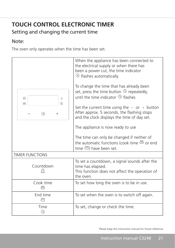# **TOUCH CONTROL ELECTRONIC TIMER**

## Setting and changing the current time

#### Note:

The oven only operates when the time has been set.

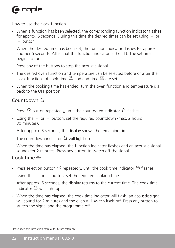# $\mathbf \Theta$  caple

How to use the clock function

- When a function has been selected, the corresponding function indicator flashes for approx. 5 seconds. During this time the desired times can be set using  $+$  or - button.
- When the desired time has been set, the function indicator flashes for approx. another 5 seconds. After that the function indicator is then lit. The set time begins to run.
- Press any of the buttons to stop the acoustic signal.
- The desired oven function and temperature can be selected before or after the clock functions of cook time  $\stackrel{\text{mm}}{\leftrightarrow}$  and end time  $\stackrel{\text{zero}}{\leftrightarrow}$  are set.
- When the cooking time has ended, turn the oven function and temperature dial back to the OFF position.

## Countdown  $\triangle$

- Press  $\circledcirc$  button repeatedly, until the countdown indicator  $\Delta$  flashes.
- Using the  $+$  or  $-$  button, set the required countdown (max. 2 hours 30 minutes).
- After approx. 5 seconds, the display shows the remaining time.
- The countdown indicator  $\Omega$  will light up.
- When the time has elapsed, the function indicator flashes and an acoustic signal sounds for 2 minutes. Press any button to switch off the signal.

#### Cook time  $\overset{\hspace{0.1em}\mathsf{nm}}{\ominus}$

- Press selection button repeatedly, until the cook time indicator flashes.
- Using the  $+$  or  $-$  button, set the required cooking time.
- After approx. 5 seconds, the display returns to the current time. The cook time indicator  $\stackrel{\text{\tiny{def}}}{\leftrightarrow}$  will light up.
- When the time has elapsed, the cook time indicator will flash, an acoustic signal will sound for 2 minutes and the oven will switch itself off. Press any button to switch the signal and the programme off.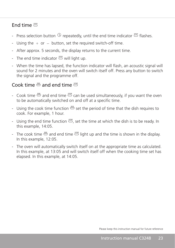#### $End$  time  $\overset{\text{stor}}{\equiv}$

- Press selection button  $\Im$  repeatedly, until the end time indicator  $\Im$  flashes.
- Using the  $+$  or  $-$  button, set the required switch-off time.
- After approx. 5 seconds, the display returns to the current time.
- The end time indicator  $\stackrel{\text{stop}}{=}$  will light up.
- When the time has lapsed, the function indicator will flash, an acoustic signal will sound for 2 minutes and the oven will switch itself off. Press any button to switch the signal and the programme off.

### Cook time  $\stackrel{\text{\tiny{300}}}{\leftrightarrow}$  and end time  $\stackrel{\text{\tiny{300}}}{\leftrightarrow}$

- Cook time  $\stackrel{\text{mm}}{\longrightarrow}$  and end time  $\stackrel{\text{300}}{\longrightarrow}$  can be used simultaneously, if you want the oven to be automatically switched on and off at a specific time.
- Using the cook time function  $\stackrel{\text{def}}{\Longrightarrow}$  set the period of time that the dish requires to cook. For example, 1 hour.
- Using the end time function  $\stackrel{\text{see}}{\rightarrow}$ , set the time at which the dish is to be ready. In this example, 14:05.
- The cook time  $\stackrel{\text{def}}{\leftrightarrow}$  and end time  $\stackrel{\text{stor}}{\leftrightarrow}$  light up and the time is shown in the display. In this example, 12:05.
- The oven will automatically switch itself on at the appropriate time as calculated. In this example, at 13:05 and will switch itself off when the cooking time set has elapsed. In this example, at 14:05.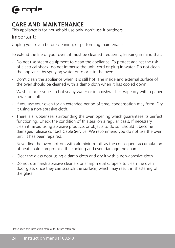# $\bigcap$  caple

## **CARE AND MAINTENANCE**

This appliance is for household use only, don't use it outdoors

#### Important:

Unplug your oven before cleaning, or performing maintenance.

To extend the life of your oven, it must be cleaned frequently, keeping in mind that:

- Do not use steam equipment to clean the appliance. To protect against the risk of electrical shock, do not immerse the unit, cord or plug in water. Do not clean the appliance by spraying water onto or into the oven.
- Don't clean the appliance when it is still hot. The inside and external surface of the oven should be cleaned with a damp cloth when it has cooled down.
- Wash all accessories in hot soapy water or in a dishwasher, wipe dry with a paper towel or cloth.
- If you use your oven for an extended period of time, condensation may form. Dry it using a non-abrasive cloth.
- There is a rubber seal surrounding the oven opening which guarantees its perfect functioning. Check the condition of this seal on a regular basis. If necessary, clean it, avoid using abrasive products or objects to do so. Should it become damaged, please contact Caple Service. We recommend you do not use the oven until it has been repaired.
- Never line the oven bottom with aluminium foil, as the consequent accumulation of heat could compromise the cooking and even damage the enamel.
- Clear the glass door using a damp cloth and dry it with a non-abrasive cloth.
- Do not use harsh abrasive cleaners or sharp metal scrapers to clean the oven door glass since they can scratch the surface, which may result in shattering of the glass.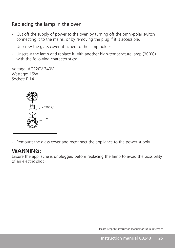#### Replacing the lamp in the oven

- Cut off the supply of power to the oven by turning off the omni-polar switch connecting it to the mains, or by removing the plug if it is accessible.
- Unscrew the glass cover attached to the lamp holder
- Unscrew the lamp and replace it with another high-temperature lamp (300˚C) with the following characteristics:

Voltage: AC220V-240V Wattage: 15W Socket: E 14



- Remount the glass cover and reconnect the appliance to the power supply.

### **WARNING:**

Ensure the appliacne is unplugged before replacing the lamp to avoid the possibility of an electric shock.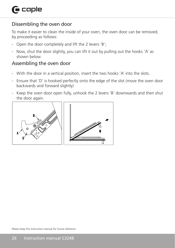## Dissembling the oven door

To make it easier to clean the inside of your oven, the oven door can be removed, by proceeding as follows:

- Open the door completely and lift the 2 levers 'B';
- Now, shut the door slightly, you can lift it out by pulling out the hooks 'A' as shown below.

## Assembling the oven door

- With the door in a vertical position, insert the two hooks 'A' into the slots.
- Ensure that 'D' is hooked perfectly onto the edge of the slot (move the oven door backwards and forward slightly)
- Keep the oven door open fully, unhook the 2 levers 'B' downwards and then shut the door again.

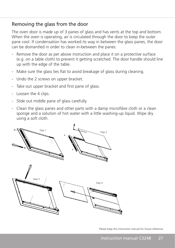#### Removing the glass from the door

The oven door is made up of 3 panes of glass and has vents at the top and bottom. When the oven is operating, air is circulated through the door to keep the outer pane cool. If condensation has worked its way in between the glass panes, the door can be dismantled in order to clean in-between the panes.

- Remove the door as per above instruction and place it on a protective surface (e.g. on a table cloth) to prevent it getting scratched. The door handle should line up with the edge of the table.
- Make sure the glass lies flat to avoid breakage of glass during cleaning.
- Undo the 2 screws on upper bracket.
- Take out upper bracket and first pane of glass.
- Loosen the 4 clips.
- Slide out middle pane of glass carefully.
- Clean the glass panes and other parts with a damp microfibre cloth or a clean sponge and a solution of hot water with a little washing-up liquid. Wipe dry using a soft cloth.

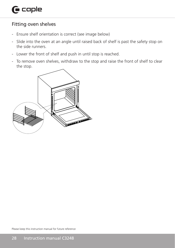### Fitting oven shelves

- Ensure shelf orientation is correct (see image below)
- Slide into the oven at an angle until raised back of shelf is past the safety stop on the side runners.
- Lower the front of shelf and push in until stop is reached.
- To remove oven shelves, withdraw to the stop and raise the front of shelf to clear the stop.

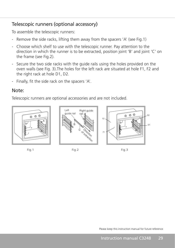### Telescopic runners (optional accessory)

To assemble the telescopic runners:

- Remove the side racks, lifting them away from the spacers 'A' (see Fig.1)
- Choose which shelf to use with the telescopic runner. Pay attention to the direction in which the runner is to be extracted, position joint 'B' and joint 'C' on the frame (see Fig.2).
- Secure the two side racks with the guide rails using the holes provided on the oven walls (see Fig. 3).The holes for the left rack are situated at hole F1, F2 and the right rack at hole D1, D2.
- Finally, fit the side rack on the spacers 'A'.

#### Note:

Telescopic runners are optional accessories and are not included.







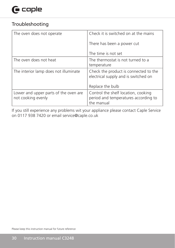# $\mathbf \Theta$  caple

### Troubleshooting

| The oven does not operate                                   | Check it is switched on at the mains                                                      |
|-------------------------------------------------------------|-------------------------------------------------------------------------------------------|
|                                                             | There has been a power cut                                                                |
|                                                             | The time is not set                                                                       |
| The oven does not heat                                      | The thermostat is not turned to a<br>temperature                                          |
| The interior lamp does not illuminate                       | Check the product is connected to the<br>electrical supply and is switched on             |
|                                                             | Replace the bulb                                                                          |
| Lower and upper parts of the oven are<br>not cooking evenly | Control the shelf location, cooking<br>period and temperatures according to<br>the manual |

If you still experience any problems wit your appliance please contact Caple Service on 0117 938 7420 or email service@caple.co.uk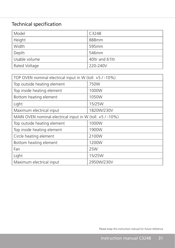# Technical specification

| Model         | C3248            |
|---------------|------------------|
| Height        | 888mm            |
| Width         | 595mm            |
| Depth         | 546mm            |
| Usable volume | 40 tr and 61 ltr |
| Rated Voltage | 220-240V         |

| TOP OVEN nominal electrical input in W (toll. +5 / -10%)  |            |  |
|-----------------------------------------------------------|------------|--|
| Top outside heating element                               | 750W       |  |
| Top inside heating element                                | 1000W      |  |
| Bottom heating element                                    | 1050W      |  |
| Light                                                     | 15/25W     |  |
| Maximum electrical input                                  | 1820W/230V |  |
| MAIN OVEN nominal electrical input in W (toll. +5 / -10%) |            |  |
| Top outside heating element                               | 1000W      |  |
| Top inside heating element                                | 1900W      |  |
| Circle heating element                                    | 2100W      |  |
| Bottom heating element                                    | 1200W      |  |
| Fan                                                       | 25W        |  |
| Light                                                     | 15/25W     |  |
| Maximum electrical input                                  | 2950W/230V |  |